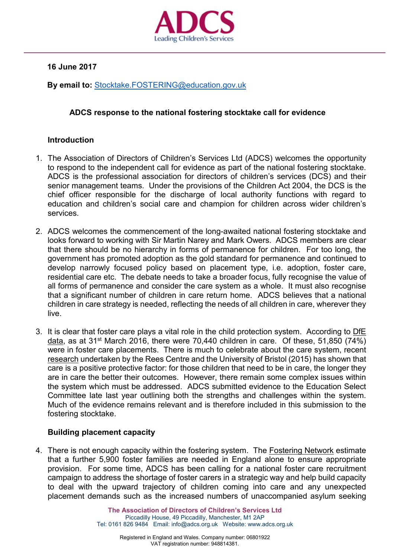

**16 June 2017**

**By email to:** [Stocktake.FOSTERING@education.gov.uk](mailto:Stocktake.FOSTERING@education.gov.uk)

# **ADCS response to the national fostering stocktake call for evidence**

## **Introduction**

- 1. The Association of Directors of Children's Services Ltd (ADCS) welcomes the opportunity to respond to the independent call for evidence as part of the national fostering stocktake. ADCS is the professional association for directors of children's services (DCS) and their senior management teams. Under the provisions of the Children Act 2004, the DCS is the chief officer responsible for the discharge of local authority functions with regard to education and children's social care and champion for children across wider children's services.
- 2. ADCS welcomes the commencement of the long-awaited national fostering stocktake and looks forward to working with Sir Martin Narey and Mark Owers. ADCS members are clear that there should be no hierarchy in forms of permanence for children. For too long, the government has promoted adoption as the gold standard for permanence and continued to develop narrowly focused policy based on placement type, i.e. adoption, foster care, residential care etc. The debate needs to take a broader focus, fully recognise the value of all forms of permanence and consider the care system as a whole. It must also recognise that a significant number of children in care return home. ADCS believes that a national children in care strategy is needed, reflecting the needs of all children in care, wherever they live.
- 3. It is clear that foster care plays a vital role in the child protection system. According to [DfE](https://www.gov.uk/government/statistics/children-looked-after-in-england-including-adoption-2015-to-2016) [data,](https://www.gov.uk/government/statistics/children-looked-after-in-england-including-adoption-2015-to-2016) as at 31st March 2016, there were 70,440 children in care. Of these, 51,850 (74%) were in foster care placements. There is much to celebrate about the care system, recent [research](http://reescentre.education.ox.ac.uk/research/educational-progress-of-looked-after-children/) undertaken by the Rees Centre and the University of Bristol (2015) has shown that care is a positive protective factor: for those children that need to be in care, the longer they are in care the better their outcomes. However, there remain some complex issues within the system which must be addressed. ADCS submitted evidence to the Education Select Committee late last year outlining both the strengths and challenges within the system. Much of the evidence remains relevant and is therefore included in this submission to the fostering stocktake.

## **Building placement capacity**

4. There is not enough capacity within the fostering system. The **Fostering Network estimate** that a further 5,900 foster families are needed in England alone to ensure appropriate provision. For some time, ADCS has been calling for a national foster care recruitment campaign to address the shortage of foster carers in a strategic way and help build capacity to deal with the upward trajectory of children coming into care and any unexpected placement demands such as the increased numbers of unaccompanied asylum seeking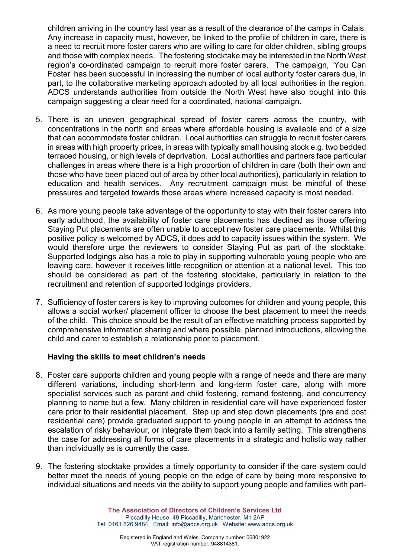children arriving in the country last year as a result of the clearance of the camps in Calais. Any increase in capacity must, however, be linked to the profile of children in care, there is a need to recruit more foster carers who are willing to care for older children, sibling groups and those with complex needs. The fostering stocktake may be interested in the North West region's co-ordinated campaign to recruit more foster carers. The campaign, 'You Can Foster' has been successful in increasing the number of local authority foster carers due, in part, to the collaborative marketing approach adopted by all local authorities in the region. ADCS understands authorities from outside the North West have also bought into this campaign suggesting a clear need for a coordinated, national campaign.

- 5. There is an uneven geographical spread of foster carers across the country, with concentrations in the north and areas where affordable housing is available and of a size that can accommodate foster children. Local authorities can struggle to recruit foster carers in areas with high property prices, in areas with typically small housing stock e.g. two bedded terraced housing, or high levels of deprivation. Local authorities and partners face particular challenges in areas where there is a high proportion of children in care (both their own and those who have been placed out of area by other local authorities), particularly in relation to education and health services. Any recruitment campaign must be mindful of these pressures and targeted towards those areas where increased capacity is most needed.
- 6. As more young people take advantage of the opportunity to stay with their foster carers into early adulthood, the availability of foster care placements has declined as those offering Staying Put placements are often unable to accept new foster care placements. Whilst this positive policy is welcomed by ADCS, it does add to capacity issues within the system. We would therefore urge the reviewers to consider Staying Put as part of the stocktake. Supported lodgings also has a role to play in supporting vulnerable young people who are leaving care, however it receives little recognition or attention at a national level. This too should be considered as part of the fostering stocktake, particularly in relation to the recruitment and retention of supported lodgings providers.
- 7. Sufficiency of foster carers is key to improving outcomes for children and young people, this allows a social worker/ placement officer to choose the best placement to meet the needs of the child. This choice should be the result of an effective matching process supported by comprehensive information sharing and where possible, planned introductions, allowing the child and carer to establish a relationship prior to placement.

## **Having the skills to meet children's needs**

- 8. Foster care supports children and young people with a range of needs and there are many different variations, including short-term and long-term foster care, along with more specialist services such as parent and child fostering, remand fostering, and concurrency planning to name but a few. Many children in residential care will have experienced foster care prior to their residential placement. Step up and step down placements (pre and post residential care) provide graduated support to young people in an attempt to address the escalation of risky behaviour, or integrate them back into a family setting. This strengthens the case for addressing all forms of care placements in a strategic and holistic way rather than individually as is currently the case.
- 9. The fostering stocktake provides a timely opportunity to consider if the care system could better meet the needs of young people on the edge of care by being more responsive to individual situations and needs via the ability to support young people and families with part-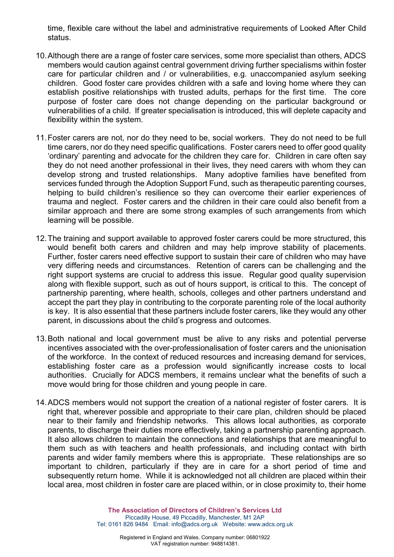time, flexible care without the label and administrative requirements of Looked After Child status.

- 10.Although there are a range of foster care services, some more specialist than others, ADCS members would caution against central government driving further specialisms within foster care for particular children and / or vulnerabilities, e.g. unaccompanied asylum seeking children. Good foster care provides children with a safe and loving home where they can establish positive relationships with trusted adults, perhaps for the first time. The core purpose of foster care does not change depending on the particular background or vulnerabilities of a child. If greater specialisation is introduced, this will deplete capacity and flexibility within the system.
- 11.Foster carers are not, nor do they need to be, social workers. They do not need to be full time carers, nor do they need specific qualifications. Foster carers need to offer good quality 'ordinary' parenting and advocate for the children they care for. Children in care often say they do not need another professional in their lives, they need carers with whom they can develop strong and trusted relationships. Many adoptive families have benefited from services funded through the Adoption Support Fund, such as therapeutic parenting courses, helping to build children's resilience so they can overcome their earlier experiences of trauma and neglect. Foster carers and the children in their care could also benefit from a similar approach and there are some strong examples of such arrangements from which learning will be possible.
- 12.The training and support available to approved foster carers could be more structured, this would benefit both carers and children and may help improve stability of placements. Further, foster carers need effective support to sustain their care of children who may have very differing needs and circumstances. Retention of carers can be challenging and the right support systems are crucial to address this issue. Regular good quality supervision along with flexible support, such as out of hours support, is critical to this. The concept of partnership parenting, where health, schools, colleges and other partners understand and accept the part they play in contributing to the corporate parenting role of the local authority is key. It is also essential that these partners include foster carers, like they would any other parent, in discussions about the child's progress and outcomes.
- 13.Both national and local government must be alive to any risks and potential perverse incentives associated with the over-professionalisation of foster carers and the unionisation of the workforce. In the context of reduced resources and increasing demand for services, establishing foster care as a profession would significantly increase costs to local authorities. Crucially for ADCS members, it remains unclear what the benefits of such a move would bring for those children and young people in care.
- 14.ADCS members would not support the creation of a national register of foster carers. It is right that, wherever possible and appropriate to their care plan, children should be placed near to their family and friendship networks. This allows local authorities, as corporate parents, to discharge their duties more effectively, taking a partnership parenting approach. It also allows children to maintain the connections and relationships that are meaningful to them such as with teachers and health professionals, and including contact with birth parents and wider family members where this is appropriate. These relationships are so important to children, particularly if they are in care for a short period of time and subsequently return home. While it is acknowledged not all children are placed within their local area, most children in foster care are placed within, or in close proximity to, their home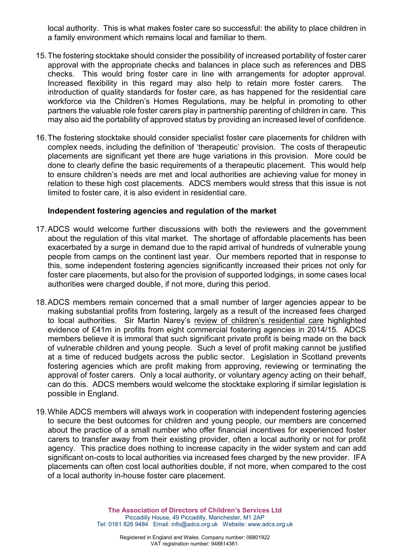local authority. This is what makes foster care so successful: the ability to place children in a family environment which remains local and familiar to them.

- 15.The fostering stocktake should consider the possibility of increased portability of foster carer approval with the appropriate checks and balances in place such as references and DBS checks. This would bring foster care in line with arrangements for adopter approval. Increased flexibility in this regard may also help to retain more foster carers. The introduction of quality standards for foster care, as has happened for the residential care workforce via the Children's Homes Regulations, may be helpful in promoting to other partners the valuable role foster carers play in partnership parenting of children in care. This may also aid the portability of approved status by providing an increased level of confidence.
- 16.The fostering stocktake should consider specialist foster care placements for children with complex needs, including the definition of 'therapeutic' provision. The costs of therapeutic placements are significant yet there are huge variations in this provision. More could be done to clearly define the basic requirements of a therapeutic placement. This would help to ensure children's needs are met and local authorities are achieving value for money in relation to these high cost placements. ADCS members would stress that this issue is not limited to foster care, it is also evident in residential care.

#### **Independent fostering agencies and regulation of the market**

- 17.ADCS would welcome further discussions with both the reviewers and the government about the regulation of this vital market. The shortage of affordable placements has been exacerbated by a surge in demand due to the rapid arrival of hundreds of vulnerable young people from camps on the continent last year. Our members reported that in response to this, some independent fostering agencies significantly increased their prices not only for foster care placements, but also for the provision of supported lodgings, in some cases local authorities were charged double, if not more, during this period.
- 18.ADCS members remain concerned that a small number of larger agencies appear to be making substantial profits from fostering, largely as a result of the increased fees charged to local authorities. Sir Martin Narey's [review of children's residential care](https://www.gov.uk/government/uploads/system/uploads/attachment_data/file/534560/Residential-Care-in-England-Sir-Martin-Narey-July-2016.pdf) highlighted evidence of £41m in profits from eight commercial fostering agencies in 2014/15. ADCS members believe it is immoral that such significant private profit is being made on the back of vulnerable children and young people. Such a level of profit making cannot be justified at a time of reduced budgets across the public sector. Legislation in Scotland prevents fostering agencies which are profit making from approving, reviewing or terminating the approval of foster carers. Only a local authority, or voluntary agency acting on their behalf, can do this. ADCS members would welcome the stocktake exploring if similar legislation is possible in England.
- 19.While ADCS members will always work in cooperation with independent fostering agencies to secure the best outcomes for children and young people, our members are concerned about the practice of a small number who offer financial incentives for experienced foster carers to transfer away from their existing provider, often a local authority or not for profit agency. This practice does nothing to increase capacity in the wider system and can add significant on-costs to local authorities via increased fees charged by the new provider. IFA placements can often cost local authorities double, if not more, when compared to the cost of a local authority in-house foster care placement.